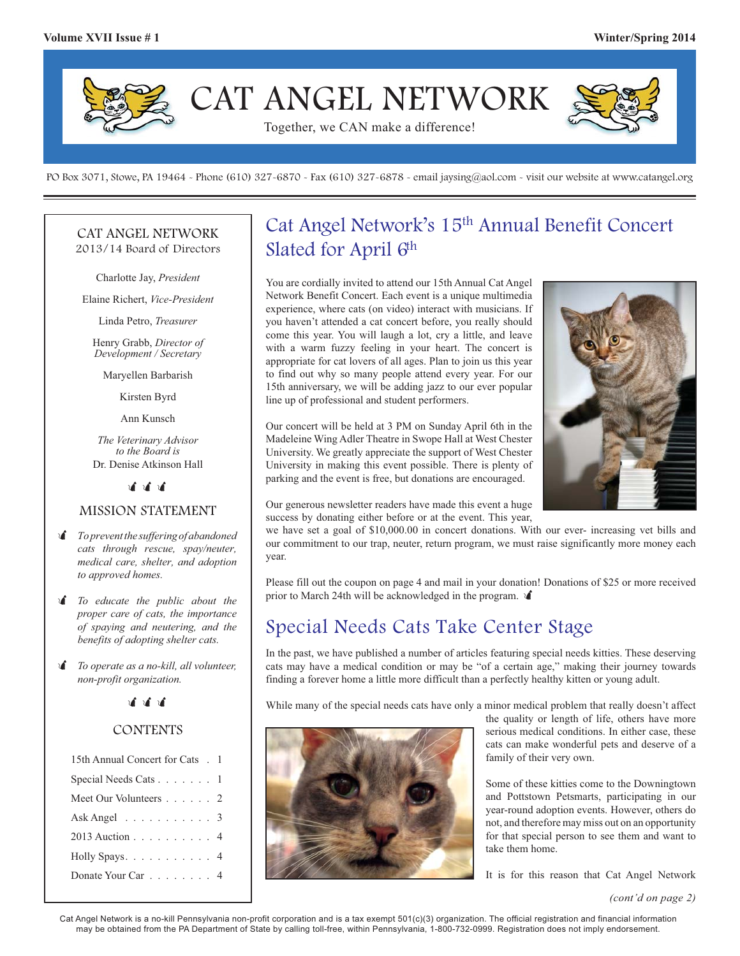

PO Box 3071, Stowe, PA 19464 - Phone (610) 327-6870 - Fax (610) 327-6878 - email jaysing@aol.com - visit our website at www.catangel.org

#### CAT ANGEL NETWORK 2013/14 Board of Directors

Charlotte Jay, *President*

Elaine Richert, *Vice-President*

Linda Petro, *Treasurer*

Henry Grabb, *Director of Development / Secretary*

Maryellen Barbarish

Kirsten Byrd

Ann Kunsch

*The Veterinary Advisor to the Board is*  Dr. Denise Atkinson Hall

> $\mathbf{r}$  $\mathbf{r}$  $\mathbf{u}^{\dagger}$

#### MISSION STATEMENT

- - *To prevent the suffering of abandoned cats through rescue, spay/neuter, medical care, shelter, and adoption to approved homes.*
- - *To educate the public about the proper care of cats, the importance of spaying and neutering, and the benefits of adopting shelter cats.*
- $\mathbf{r}$  *To operate as a no-kill, all volunteer, non-profit organization.*

### .<br>जै. जै. जै.

### **CONTENTS**

| 15th Annual Concert for Cats . 1   |  |
|------------------------------------|--|
| Special Needs Cats 1               |  |
| Meet Our Volunteers 2              |  |
| Ask Angel $\ldots \ldots \ldots$ 3 |  |
| 2013 Auction 4                     |  |
| Holly Spays. 4                     |  |
| Donate Your Car 4                  |  |
|                                    |  |

# Cat Angel Network's 15th Annual Benefit Concert Slated for April  $6<sup>th</sup>$

You are cordially invited to attend our 15th Annual Cat Angel Network Benefit Concert. Each event is a unique multimedia experience, where cats (on video) interact with musicians. If you haven't attended a cat concert before, you really should come this year. You will laugh a lot, cry a little, and leave with a warm fuzzy feeling in your heart. The concert is appropriate for cat lovers of all ages. Plan to join us this year to find out why so many people attend every year. For our 15th anniversary, we will be adding jazz to our ever popular line up of professional and student performers.

Our concert will be held at 3 PM on Sunday April 6th in the Madeleine Wing Adler Theatre in Swope Hall at West Chester University. We greatly appreciate the support of West Chester University in making this event possible. There is plenty of parking and the event is free, but donations are encouraged.



Our generous newsletter readers have made this event a huge success by donating either before or at the event. This year,

we have set a goal of \$10,000.00 in concert donations. With our ever- increasing vet bills and our commitment to our trap, neuter, return program, we must raise significantly more money each year.

Please fill out the coupon on page 4 and mail in your donation! Donations of \$25 or more received prior to March 24th will be acknowledged in the program.  $\mathbf{\hat{A}}$ 

## Special Needs Cats Take Center Stage

In the past, we have published a number of articles featuring special needs kitties. These deserving cats may have a medical condition or may be "of a certain age," making their journey towards finding a forever home a little more difficult than a perfectly healthy kitten or young adult.

While many of the special needs cats have only a minor medical problem that really doesn't affect



the quality or length of life, others have more serious medical conditions. In either case, these cats can make wonderful pets and deserve of a family of their very own.

Some of these kitties come to the Downingtown and Pottstown Petsmarts, participating in our year-round adoption events. However, others do not, and therefore may miss out on an opportunity for that special person to see them and want to take them home.

It is for this reason that Cat Angel Network

*(cont'd on page 2)*

Cat Angel Network is a no-kill Pennsylvania non-profit corporation and is a tax exempt 501(c)(3) organization. The official registration and financial information may be obtained from the PA Department of State by calling toll-free, within Pennsylvania, 1-800-732-0999. Registration does not imply endorsement.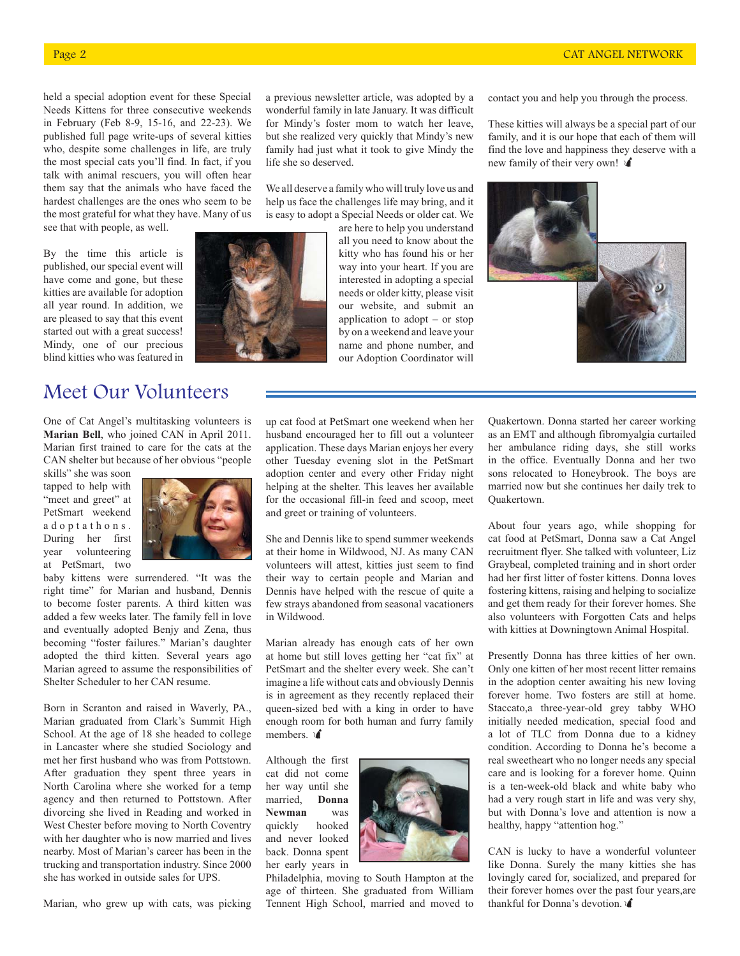held a special adoption event for these Special Needs Kittens for three consecutive weekends in February (Feb 8-9, 15-16, and 22-23). We published full page write-ups of several kitties who, despite some challenges in life, are truly the most special cats you'll find. In fact, if you talk with animal rescuers, you will often hear them say that the animals who have faced the hardest challenges are the ones who seem to be the most grateful for what they have. Many of us see that with people, as well.

By the time this article is published, our special event will have come and gone, but these kitties are available for adoption all year round. In addition, we are pleased to say that this event started out with a great success! Mindy, one of our precious blind kitties who was featured in

# Meet Our Volunteers

One of Cat Angel's multitasking volunteers is **Marian Bell**, who joined CAN in April 2011. Marian first trained to care for the cats at the CAN shelter but because of her obvious "people

skills" she was soon tapped to help with "meet and greet" at PetSmart weekend a d o p t a t h o n s . During her first year volunteering at PetSmart, two



baby kittens were surrendered. "It was the right time" for Marian and husband, Dennis to become foster parents. A third kitten was added a few weeks later. The family fell in love and eventually adopted Benjy and Zena, thus becoming "foster failures." Marian's daughter adopted the third kitten. Several years ago Marian agreed to assume the responsibilities of Shelter Scheduler to her CAN resume.

Born in Scranton and raised in Waverly, PA., Marian graduated from Clark's Summit High School. At the age of 18 she headed to college in Lancaster where she studied Sociology and met her first husband who was from Pottstown. After graduation they spent three years in North Carolina where she worked for a temp agency and then returned to Pottstown. After divorcing she lived in Reading and worked in West Chester before moving to North Coventry with her daughter who is now married and lives nearby. Most of Marian's career has been in the trucking and transportation industry. Since 2000 she has worked in outside sales for UPS.

Marian, who grew up with cats, was picking

a previous newsletter article, was adopted by a wonderful family in late January. It was difficult for Mindy's foster mom to watch her leave, but she realized very quickly that Mindy's new family had just what it took to give Mindy the life she so deserved.

We all deserve a family who will truly love us and help us face the challenges life may bring, and it is easy to adopt a Special Needs or older cat. We

> are here to help you understand all you need to know about the kitty who has found his or her way into your heart. If you are interested in adopting a special needs or older kitty, please visit our website, and submit an application to adopt – or stop by on a weekend and leave your name and phone number, and our Adoption Coordinator will

contact you and help you through the process.

These kitties will always be a special part of our family, and it is our hope that each of them will find the love and happiness they deserve with a new family of their very own!  $\mathbf{\hat{A}}$ 



up cat food at PetSmart one weekend when her husband encouraged her to fill out a volunteer application. These days Marian enjoys her every other Tuesday evening slot in the PetSmart adoption center and every other Friday night helping at the shelter. This leaves her available for the occasional fill-in feed and scoop, meet and greet or training of volunteers.

She and Dennis like to spend summer weekends at their home in Wildwood, NJ. As many CAN volunteers will attest, kitties just seem to find their way to certain people and Marian and Dennis have helped with the rescue of quite a few strays abandoned from seasonal vacationers in Wildwood.

Marian already has enough cats of her own at home but still loves getting her "cat fix" at PetSmart and the shelter every week. She can't imagine a life without cats and obviously Dennis is in agreement as they recently replaced their queen-sized bed with a king in order to have enough room for both human and furry family members.  $\mathbf{A}$ 

Although the first cat did not come her way until she married, **Donna Newman** was quickly hooked and never looked back. Donna spent her early years in



Philadelphia, moving to South Hampton at the age of thirteen. She graduated from William Tennent High School, married and moved to Quakertown. Donna started her career working as an EMT and although fibromyalgia curtailed her ambulance riding days, she still works in the office. Eventually Donna and her two sons relocated to Honeybrook. The boys are married now but she continues her daily trek to Quakertown.

About four years ago, while shopping for cat food at PetSmart, Donna saw a Cat Angel recruitment flyer. She talked with volunteer, Liz Graybeal, completed training and in short order had her first litter of foster kittens. Donna loves fostering kittens, raising and helping to socialize and get them ready for their forever homes. She also volunteers with Forgotten Cats and helps with kitties at Downingtown Animal Hospital.

Presently Donna has three kitties of her own. Only one kitten of her most recent litter remains in the adoption center awaiting his new loving forever home. Two fosters are still at home. Staccato,a three-year-old grey tabby WHO initially needed medication, special food and a lot of TLC from Donna due to a kidney condition. According to Donna he's become a real sweetheart who no longer needs any special care and is looking for a forever home. Quinn is a ten-week-old black and white baby who had a very rough start in life and was very shy, but with Donna's love and attention is now a healthy, happy "attention hog."

CAN is lucky to have a wonderful volunteer like Donna. Surely the many kitties she has lovingly cared for, socialized, and prepared for their forever homes over the past four years,are thankful for Donna's devotion.

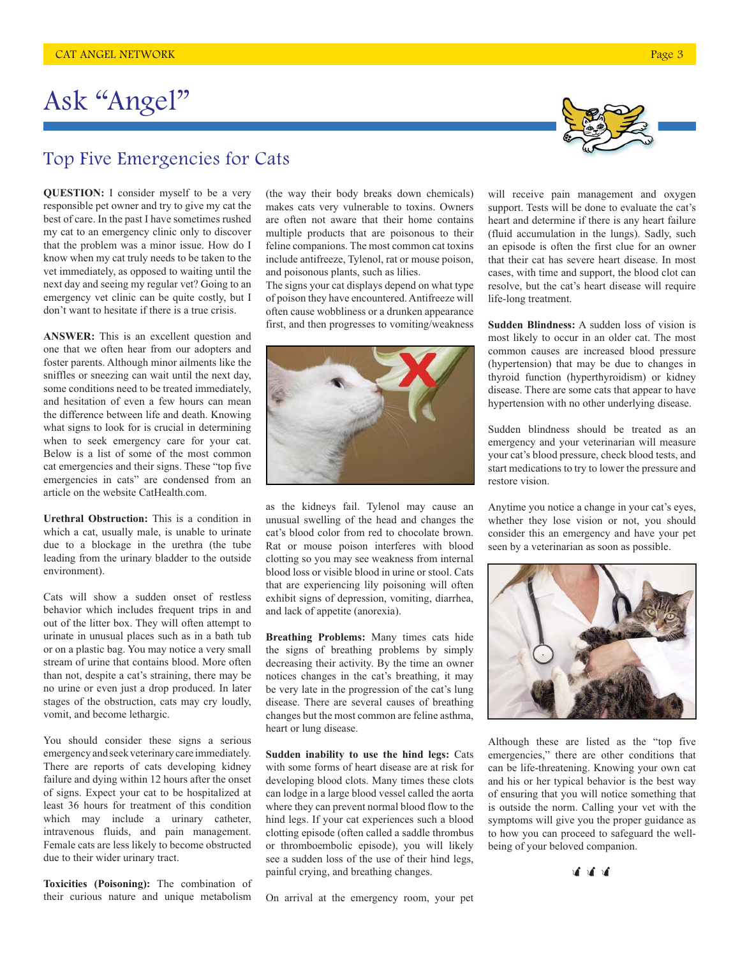## Top Five Emergencies for Cats

**QUESTION:** I consider myself to be a very responsible pet owner and try to give my cat the best of care. In the past I have sometimes rushed my cat to an emergency clinic only to discover that the problem was a minor issue. How do I know when my cat truly needs to be taken to the vet immediately, as opposed to waiting until the next day and seeing my regular vet? Going to an emergency vet clinic can be quite costly, but I don't want to hesitate if there is a true crisis.

**ANSWER:** This is an excellent question and one that we often hear from our adopters and foster parents. Although minor ailments like the sniffles or sneezing can wait until the next day, some conditions need to be treated immediately, and hesitation of even a few hours can mean the difference between life and death. Knowing what signs to look for is crucial in determining when to seek emergency care for your cat. Below is a list of some of the most common cat emergencies and their signs. These "top five emergencies in cats" are condensed from an article on the website CatHealth.com.

**Urethral Obstruction:** This is a condition in which a cat, usually male, is unable to urinate due to a blockage in the urethra (the tube leading from the urinary bladder to the outside environment).

Cats will show a sudden onset of restless behavior which includes frequent trips in and out of the litter box. They will often attempt to urinate in unusual places such as in a bath tub or on a plastic bag. You may notice a very small stream of urine that contains blood. More often than not, despite a cat's straining, there may be no urine or even just a drop produced. In later stages of the obstruction, cats may cry loudly, vomit, and become lethargic.

You should consider these signs a serious emergency and seek veterinary care immediately. There are reports of cats developing kidney failure and dying within 12 hours after the onset of signs. Expect your cat to be hospitalized at least 36 hours for treatment of this condition which may include a urinary catheter, intravenous fluids, and pain management. Female cats are less likely to become obstructed due to their wider urinary tract.

**Toxicities (Poisoning):** The combination of their curious nature and unique metabolism

(the way their body breaks down chemicals) makes cats very vulnerable to toxins. Owners are often not aware that their home contains multiple products that are poisonous to their feline companions. The most common cat toxins include antifreeze, Tylenol, rat or mouse poison, and poisonous plants, such as lilies.

The signs your cat displays depend on what type of poison they have encountered. Antifreeze will often cause wobbliness or a drunken appearance first, and then progresses to vomiting/weakness



as the kidneys fail. Tylenol may cause an unusual swelling of the head and changes the cat's blood color from red to chocolate brown. Rat or mouse poison interferes with blood clotting so you may see weakness from internal blood loss or visible blood in urine or stool. Cats that are experiencing lily poisoning will often exhibit signs of depression, vomiting, diarrhea, and lack of appetite (anorexia).

**Breathing Problems:** Many times cats hide the signs of breathing problems by simply decreasing their activity. By the time an owner notices changes in the cat's breathing, it may be very late in the progression of the cat's lung disease. There are several causes of breathing changes but the most common are feline asthma, heart or lung disease.

**Sudden inability to use the hind legs:** Cats with some forms of heart disease are at risk for developing blood clots. Many times these clots can lodge in a large blood vessel called the aorta where they can prevent normal blood flow to the hind legs. If your cat experiences such a blood clotting episode (often called a saddle thrombus or thromboembolic episode), you will likely see a sudden loss of the use of their hind legs, painful crying, and breathing changes.

On arrival at the emergency room, your pet



will receive pain management and oxygen support. Tests will be done to evaluate the cat's heart and determine if there is any heart failure (fluid accumulation in the lungs). Sadly, such an episode is often the first clue for an owner that their cat has severe heart disease. In most cases, with time and support, the blood clot can resolve, but the cat's heart disease will require life-long treatment.

**Sudden Blindness:** A sudden loss of vision is most likely to occur in an older cat. The most common causes are increased blood pressure (hypertension) that may be due to changes in thyroid function (hyperthyroidism) or kidney disease. There are some cats that appear to have hypertension with no other underlying disease.

Sudden blindness should be treated as an emergency and your veterinarian will measure your cat's blood pressure, check blood tests, and start medications to try to lower the pressure and restore vision.

Anytime you notice a change in your cat's eyes, whether they lose vision or not, you should consider this an emergency and have your pet seen by a veterinarian as soon as possible.



Although these are listed as the "top five emergencies," there are other conditions that can be life-threatening. Knowing your own cat and his or her typical behavior is the best way of ensuring that you will notice something that is outside the norm. Calling your vet with the symptoms will give you the proper guidance as to how you can proceed to safeguard the wellbeing of your beloved companion.